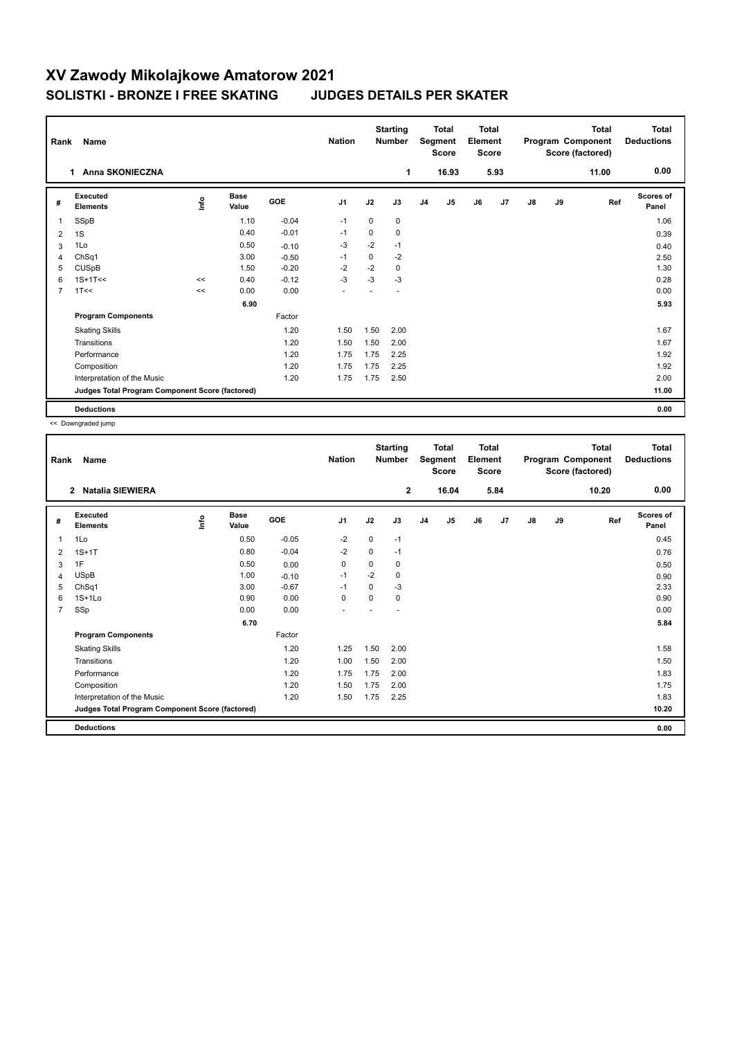## **XV Zawody Mikolajkowe Amatorow 2021 SOLISTKI - BRONZE I FREE SKATING JUDGES DETAILS PER SKATER**

| Rank           | Name                                            |      |                      |         | <b>Nation</b>  |             | <b>Starting</b><br><b>Number</b> |    | <b>Total</b><br>Segment<br><b>Score</b> | <b>Total</b><br>Element<br><b>Score</b> |      |               |    | <b>Total</b><br>Program Component<br>Score (factored) | Total<br><b>Deductions</b> |
|----------------|-------------------------------------------------|------|----------------------|---------|----------------|-------------|----------------------------------|----|-----------------------------------------|-----------------------------------------|------|---------------|----|-------------------------------------------------------|----------------------------|
|                | <b>Anna SKONIECZNA</b><br>$\mathbf 1$           |      |                      |         |                |             | 1                                |    | 16.93                                   |                                         | 5.93 |               |    | 11.00                                                 | 0.00                       |
| #              | Executed<br><b>Elements</b>                     | Info | <b>Base</b><br>Value | GOE     | J <sub>1</sub> | J2          | J3                               | J4 | J5                                      | J6                                      | J7   | $\mathsf{J}8$ | J9 | Ref                                                   | <b>Scores of</b><br>Panel  |
| 1              | SSpB                                            |      | 1.10                 | $-0.04$ | $-1$           | $\mathbf 0$ | 0                                |    |                                         |                                         |      |               |    |                                                       | 1.06                       |
| 2              | 1S                                              |      | 0.40                 | $-0.01$ | $-1$           | 0           | 0                                |    |                                         |                                         |      |               |    |                                                       | 0.39                       |
| 3              | 1Lo                                             |      | 0.50                 | $-0.10$ | $-3$           | $-2$        | $-1$                             |    |                                         |                                         |      |               |    |                                                       | 0.40                       |
| 4              | ChSq1                                           |      | 3.00                 | $-0.50$ | $-1$           | 0           | $-2$                             |    |                                         |                                         |      |               |    |                                                       | 2.50                       |
| 5              | <b>CUSpB</b>                                    |      | 1.50                 | $-0.20$ | $-2$           | $-2$        | 0                                |    |                                         |                                         |      |               |    |                                                       | 1.30                       |
| 6              | $1S+1T<<$                                       | <<   | 0.40                 | $-0.12$ | $-3$           | $-3$        | $-3$                             |    |                                         |                                         |      |               |    |                                                       | 0.28                       |
| $\overline{7}$ | 1T<<                                            | <<   | 0.00                 | 0.00    |                |             |                                  |    |                                         |                                         |      |               |    |                                                       | 0.00                       |
|                |                                                 |      | 6.90                 |         |                |             |                                  |    |                                         |                                         |      |               |    |                                                       | 5.93                       |
|                | <b>Program Components</b>                       |      |                      | Factor  |                |             |                                  |    |                                         |                                         |      |               |    |                                                       |                            |
|                | <b>Skating Skills</b>                           |      |                      | 1.20    | 1.50           | 1.50        | 2.00                             |    |                                         |                                         |      |               |    |                                                       | 1.67                       |
|                | Transitions                                     |      |                      | 1.20    | 1.50           | 1.50        | 2.00                             |    |                                         |                                         |      |               |    |                                                       | 1.67                       |
|                | Performance                                     |      |                      | 1.20    | 1.75           | 1.75        | 2.25                             |    |                                         |                                         |      |               |    |                                                       | 1.92                       |
|                | Composition                                     |      |                      | 1.20    | 1.75           | 1.75        | 2.25                             |    |                                         |                                         |      |               |    |                                                       | 1.92                       |
|                | Interpretation of the Music                     |      |                      | 1.20    | 1.75           | 1.75        | 2.50                             |    |                                         |                                         |      |               |    |                                                       | 2.00                       |
|                | Judges Total Program Component Score (factored) |      |                      |         |                |             |                                  |    |                                         |                                         |      |               |    |                                                       | 11.00                      |
|                | <b>Deductions</b>                               |      |                      |         |                |             |                                  |    |                                         |                                         |      |               |    |                                                       | 0.00                       |

<< Downgraded jump

| Rank           | Name                                            |      |                      |            | <b>Nation</b>  |          | <b>Starting</b><br><b>Number</b> |                | <b>Total</b><br>Segment<br><b>Score</b> | <b>Total</b><br>Element<br><b>Score</b> |      |    |    | <b>Total</b><br>Program Component<br>Score (factored) | Total<br><b>Deductions</b> |
|----------------|-------------------------------------------------|------|----------------------|------------|----------------|----------|----------------------------------|----------------|-----------------------------------------|-----------------------------------------|------|----|----|-------------------------------------------------------|----------------------------|
|                | $\overline{2}$<br><b>Natalia SIEWIERA</b>       |      |                      |            |                |          | $\mathbf{2}$                     |                | 16.04                                   |                                         | 5.84 |    |    | 10.20                                                 | 0.00                       |
| #              | Executed<br><b>Elements</b>                     | info | <b>Base</b><br>Value | <b>GOE</b> | J <sub>1</sub> | J2       | J3                               | J <sub>4</sub> | J <sub>5</sub>                          | J6                                      | J7   | J8 | J9 | Ref                                                   | <b>Scores of</b><br>Panel  |
| 1              | 1Lo                                             |      | 0.50                 | $-0.05$    | $-2$           | 0        | $-1$                             |                |                                         |                                         |      |    |    |                                                       | 0.45                       |
| 2              | $1S+1T$                                         |      | 0.80                 | $-0.04$    | $-2$           | 0        | $-1$                             |                |                                         |                                         |      |    |    |                                                       | 0.76                       |
| 3              | 1F                                              |      | 0.50                 | 0.00       | 0              | 0        | 0                                |                |                                         |                                         |      |    |    |                                                       | 0.50                       |
| 4              | <b>USpB</b>                                     |      | 1.00                 | $-0.10$    | $-1$           | $-2$     | 0                                |                |                                         |                                         |      |    |    |                                                       | 0.90                       |
| 5              | ChSq1                                           |      | 3.00                 | $-0.67$    | $-1$           | $\Omega$ | $-3$                             |                |                                         |                                         |      |    |    |                                                       | 2.33                       |
| 6              | $1S+1L0$                                        |      | 0.90                 | 0.00       | $\mathbf 0$    | 0        | 0                                |                |                                         |                                         |      |    |    |                                                       | 0.90                       |
| $\overline{7}$ | SSp                                             |      | 0.00                 | 0.00       | ۰              |          |                                  |                |                                         |                                         |      |    |    |                                                       | 0.00                       |
|                |                                                 |      | 6.70                 |            |                |          |                                  |                |                                         |                                         |      |    |    |                                                       | 5.84                       |
|                | <b>Program Components</b>                       |      |                      | Factor     |                |          |                                  |                |                                         |                                         |      |    |    |                                                       |                            |
|                | <b>Skating Skills</b>                           |      |                      | 1.20       | 1.25           | 1.50     | 2.00                             |                |                                         |                                         |      |    |    |                                                       | 1.58                       |
|                | Transitions                                     |      |                      | 1.20       | 1.00           | 1.50     | 2.00                             |                |                                         |                                         |      |    |    |                                                       | 1.50                       |
|                | Performance                                     |      |                      | 1.20       | 1.75           | 1.75     | 2.00                             |                |                                         |                                         |      |    |    |                                                       | 1.83                       |
|                | Composition                                     |      |                      | 1.20       | 1.50           | 1.75     | 2.00                             |                |                                         |                                         |      |    |    |                                                       | 1.75                       |
|                | Interpretation of the Music                     |      |                      | 1.20       | 1.50           | 1.75     | 2.25                             |                |                                         |                                         |      |    |    |                                                       | 1.83                       |
|                | Judges Total Program Component Score (factored) |      |                      |            |                |          |                                  |                |                                         |                                         |      |    |    |                                                       | 10.20                      |
|                | <b>Deductions</b>                               |      |                      |            |                |          |                                  |                |                                         |                                         |      |    |    |                                                       | 0.00                       |
|                |                                                 |      |                      |            |                |          |                                  |                |                                         |                                         |      |    |    |                                                       |                            |